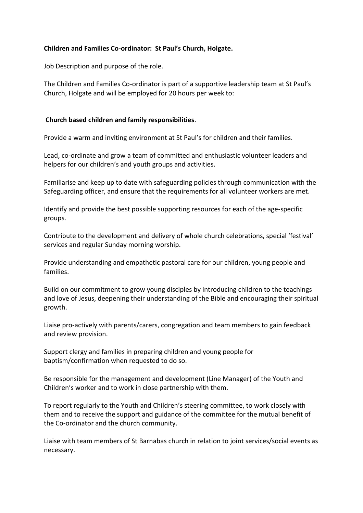# **Children and Families Co-ordinator: St Paul's Church, Holgate.**

Job Description and purpose of the role.

The Children and Families Co-ordinator is part of a supportive leadership team at St Paul's Church, Holgate and will be employed for 20 hours per week to:

### **Church based children and family responsibilities**.

Provide a warm and inviting environment at St Paul's for children and their families.

Lead, co-ordinate and grow a team of committed and enthusiastic volunteer leaders and helpers for our children's and youth groups and activities.

Familiarise and keep up to date with safeguarding policies through communication with the Safeguarding officer, and ensure that the requirements for all volunteer workers are met.

Identify and provide the best possible supporting resources for each of the age-specific groups.

Contribute to the development and delivery of whole church celebrations, special 'festival' services and regular Sunday morning worship.

Provide understanding and empathetic pastoral care for our children, young people and families.

Build on our commitment to grow young disciples by introducing children to the teachings and love of Jesus, deepening their understanding of the Bible and encouraging their spiritual growth.

Liaise pro-actively with parents/carers, congregation and team members to gain feedback and review provision.

Support clergy and families in preparing children and young people for baptism/confirmation when requested to do so.

Be responsible for the management and development (Line Manager) of the Youth and Children's worker and to work in close partnership with them.

To report regularly to the Youth and Children's steering committee, to work closely with them and to receive the support and guidance of the committee for the mutual benefit of the Co-ordinator and the church community.

Liaise with team members of St Barnabas church in relation to joint services/social events as necessary.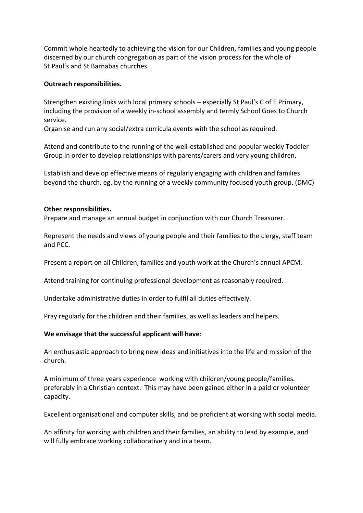Commit whole heartedly to achieving the vision for our Children, families and young people discerned by our church congregation as part of the vision process for the whole of St Paul's and St Barnabas churches.

### **Outreach responsibilities.**

Strengthen existing links with local primary schools – especially St Paul's C of E Primary, including the provision of a weekly in-school assembly and termly School Goes to Church service.

Organise and run any social/extra curricula events with the school as required.

Attend and contribute to the running of the well-established and popular weekly Toddler Group in order to develop relationships with parents/carers and very young children.

Establish and develop effective means of regularly engaging with children and families beyond the church. eg. by the running of a weekly community focused youth group. (DMC)

#### **Other responsibilities.**

Prepare and manage an annual budget in conjunction with our Church Treasurer.

Represent the needs and views of young people and their families to the clergy, staff team and PCC.

Present a report on all Children, families and youth work at the Church's annual APCM.

Attend training for continuing professional development as reasonably required.

Undertake administrative duties in order to fulfil all duties effectively.

Pray regularly for the children and their families, as well as leaders and helpers.

# **We envisage that the successful applicant will have**:

An enthusiastic approach to bring new ideas and initiatives into the life and mission of the church.

A minimum of three years experience working with children/young people/families. preferably in a Christian context. This may have been gained either in a paid or volunteer capacity.

Excellent organisational and computer skills, and be proficient at working with social media.

An affinity for working with children and their families, an ability to lead by example, and will fully embrace working collaboratively and in a team.